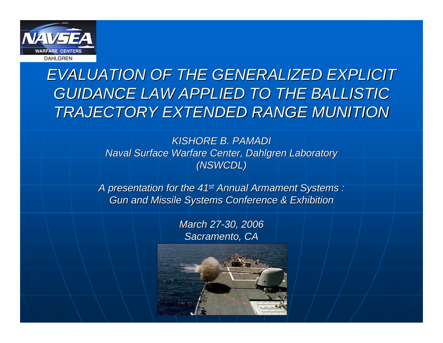

### *EVALUATION OF THE GENERALIZED EXPLICIT EVALUATION OF THE GENERALIZED EXPLICIT GUIDANCE LAW APPLIED TO THE BALLISTIC GUIDANCE LAW APPLIED TO THE BALLISTIC TRAJECTORY EXTENDED RANGE MUNITION TRAJECTORY EXTENDED RANGE MUNITION*

#### *KISHORE B. PAMADI KISHORE B. PAMADI Naval Surface Warfare Center, Dahlgren Laboratory Naval Surface Warfare Center, Dahlgren Laboratory (NSWCDL) (NSWCDL)*

*A presentation for the 41 A presentation for the 41st Annual Armament Systems : Annual Armament Systems : Gun and Missile Systems Conference & Exhibition Gun and Missile Systems Conference & Exhibition*

#### *March 27 March 27-30, 2006 30, 2006 Sacramento, CA Sacramento, CA*

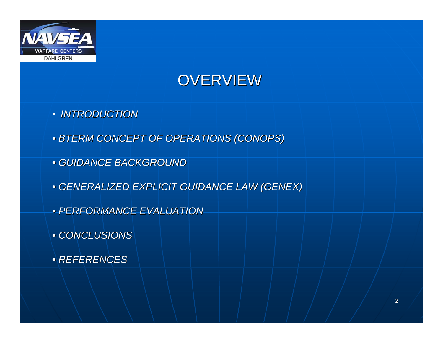

### OVERVIEW

- *INTRODUCTION*
- *BTERM CONCEPT OF OPERATIONS (CONOPS) BTERM CONCEPT OF OPERATIONS (CONOPS)*
- *GUIDANCE BACKGROUND GUIDANCE BACKGROUND*
- *GENERALIZED EXPLICIT GUIDANCE LAW (GENEX) GENERALIZED EXPLICIT GUIDANCE LAW (GENEX)*
- *PERFORMANCE EVALUATION PERFORMANCE EVALUATION*
- *CONCLUSIONS CONCLUSIONS*
- *REFERENCES REFERENCES*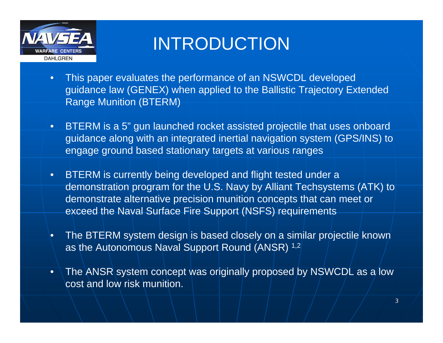

# INTRODUCTION

- $\bullet$  This paper evaluates the performance of an NSWCDL developed guidance law (GENEX) when applied to the Ballistic Trajectory Extended Range Munition (BTERM)
- $\bullet$  BTERM is a 5" gun launched rocket assisted projectile that uses onboard guidance along with an integrated inertial navigation system (GPS/INS) to engage ground based stationary targets at various ranges
- $\bullet$  BTERM is currently being developed and flight tested under a demonstration program for the U.S. Navy by Alliant Techsystems (ATK) to demonstrate alternative precision munition concepts that can meet or exceed the Naval Surface Fire Support (NSFS) requirements
- • The BTERM system design is based closely on a similar projectile known as the Autonomous Naval Support Round (ANSR) 1,2
- • The ANSR system concept was originally proposed by NSWCDL as a low cost and low risk munition.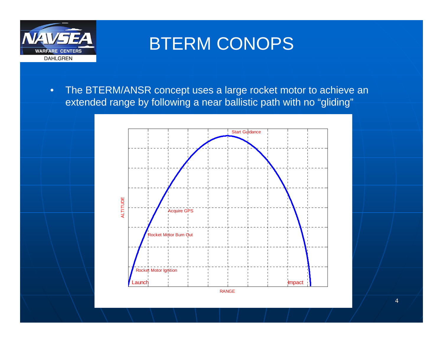

### BTERM CONOPS

• The BTERM/ANSR concept uses a large rocket motor to achieve an extended range by following a near ballistic path with no "gliding"

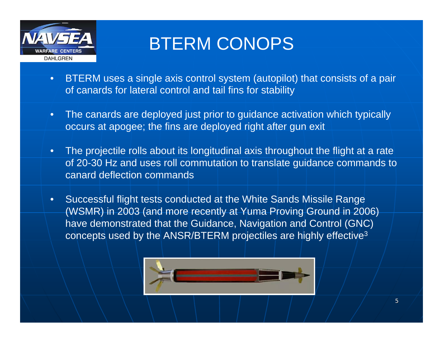

# BTERM CONOPS

- • BTERM uses a single axis control system (autopilot) that consists of a pair of canards for lateral control and tail fins for stability
- $\bullet$  The canards are deployed just prior to guidance activation which typically occurs at apogee; the fins are deployed right after gun exit
- • The projectile rolls about its longitudinal axis throughout the flight at a rate of 20-30 Hz and uses roll commutation to translate guidance commands to canard deflection commands
- $\bullet$  Successful flight tests conducted at the White Sands Missile Range (WSMR) in 2003 (and more recently at Yuma Proving Ground in 2006) have demonstrated that the Guidance, Navigation and Control (GNC) concepts used by the ANSR/BTERM projectiles are highly effective3

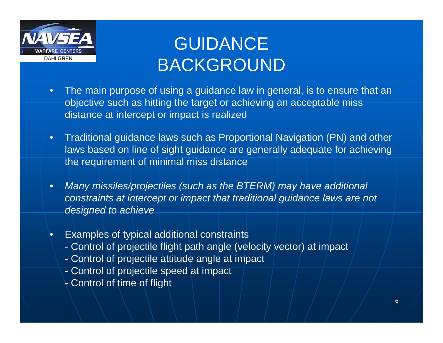

•

# GUIDANCE BACKGROUND

- • The main purpose of using a guidance law in general, is to ensure that an objective such as hitting the target or achieving an acceptable miss distance at intercept or impact is realized
- • Traditional guidance laws such as Proportional Navigation (PN) and other laws based on line of sight guidance are generally adequate for achieving the requirement of minimal miss distance
- • *Many missiles/projectiles (such as the BTERM) may have additional constraints at intercept or impact that traditional guidance laws are not designed to achieve*
	- Examples of typical additional constraints
		- Control of projectile flight path angle (velocity vector) at impact
		- Control of projectile attitude angle at impact
		- Control of projectile speed at impact
		- $_7$  Control of time of flight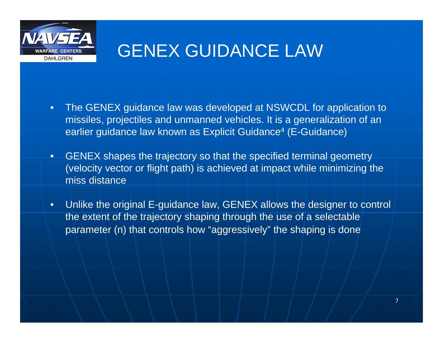

### GENEX GUIDANCE LAW

- • The GENEX guidance law was developed at NSWCDL for application to missiles, projectiles and unmanned vehicles. It is a generalization of an earlier guidance law known as Explicit Guidance 4 (E-Guidance)
- • GENEX shapes the trajectory so that the specified terminal geometry (velocity vector or flight path) is achieved at impact while minimizing the miss distance
- $\bullet$  Unlike the original E-guidance law, GENEX allows the designer to control the extent of the trajectory shaping through the use of a selectable parameter (n) that controls how "aggressively" the shaping is done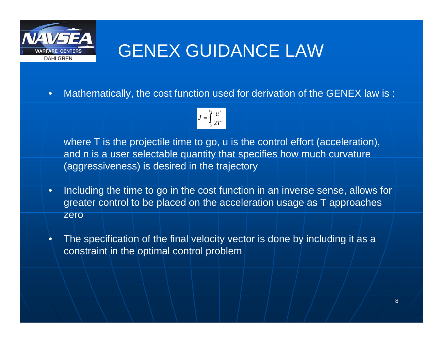

# GENEX GUIDANCE LAW

•Mathematically, the cost function used for derivation of the GENEX law is :

$$
J=\int\limits_0^{T_0}\frac{u^2}{2T^n}
$$

where T is the projectile time to go, u is the control effort (acceleration), and n is a user selectable quantity that specifies how much curvature (aggressiveness) is desired in the trajectory

- • Including the time to go in the cost function in an inverse sense, allows for greater control to be placed on the acceleration usage as T approaches zero
- • The specification of the final velocity vector is done by including it as a constraint in the optimal control problem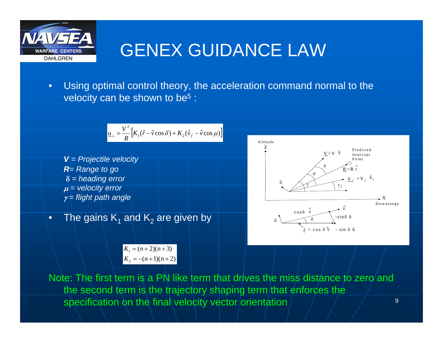

•

# GENEX GUIDANCE LAW

• Using optimal control theory, the acceleration command normal to the velocity can be shown to be 5 :

$$
\frac{u_{\perp} = \frac{V^2}{R} [K_1(\hat{r} - \hat{v}\cos\delta) + K_2(\hat{v}_f - \hat{v}\cos\mu)]}{V = Projectile velocity}
$$
\n  
\n**R** = Range to go  
\n
$$
\delta = heading error
$$
\n
$$
\mu = velocity error
$$
\n
$$
\gamma = flight path angle
$$
\nThe gains K<sub>1</sub> and K<sub>2</sub> are given by  
\n
$$
\frac{K_1 = (n+2)(n+3)}{V}
$$

 $K_2 = -(n+1)(n+2)$ 

δ $\hat{u}$   $\sim$  $\hat{u}$   $\sim$   $\sqrt{\delta}$   $\sim$   $\sin \delta \hat{u}$ cosδ v ^ $\wedge$   $\rightarrow$  V ^ $\hat{r}$  = cos δ $\hat{v}$  - sin δû X PredictedIntercept Pointδμ  $\gamma$   $\gamma$  $V = V \quad \hat{V}$  $\underline{V}_{f} = V_{f} \hat{V}_{f}$  $R = R \stackrel{\wedge}{r}$ Downrange

9Note: The first term is a PN like term that drives the miss distance to zero and the second term is the trajectory shaping term that enforces the specification on the final velocity vector orientation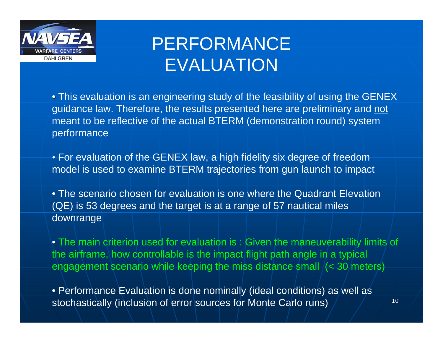

# PERFORMANCE EVALUATION

• This evaluation is an engineering study of the feasibility of using the GENEX guidance law. Therefore, the results presented here are preliminary and not meant to be reflective of the actual BTERM (demonstration round) system performance

• For evaluation of the GENEX law, a high fidelity six degree of freedom model is used to examine BTERM trajectories from gun launch to impact

• The scenario chosen for evaluation is one where the Quadrant Elevation (QE) is 53 degrees and the target is at a range of 57 nautical miles downrange

• The main criterion used for evaluation is : Given the maneuverability limits of the airframe, how controllable is the impact flight path angle in a typical engagement scenario while keeping the miss distance small (< 30 meters)

• Performance Evaluation is done nominally (ideal conditions) as well as stochastically (inclusion of error sources for Monte Carlo runs)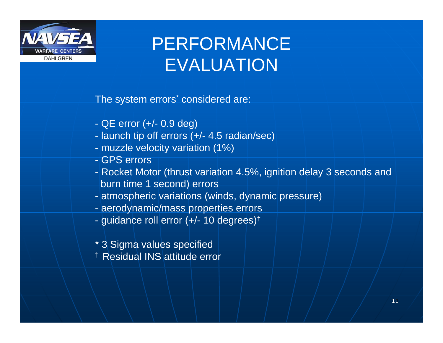

# PERFORMANCE EVALUATION

The system errors<sup>\*</sup> considered are:

- QE error (+/- 0.9 deg)
- launch tip off errors (+/- 4.5 radian/sec)
- muzzle velocity variation (1%)
- GPS errors
- Rocket Motor (thrust variation 4.5%, ignition delay 3 seconds and burn time 1 second) errors
- atmospheric variations (winds, dynamic pressure)
- aerodynamic/mass properties errors
- guidance roll error (+/- 10 degrees) †
- \* 3 Sigma values specified
- † Residual INS attitude error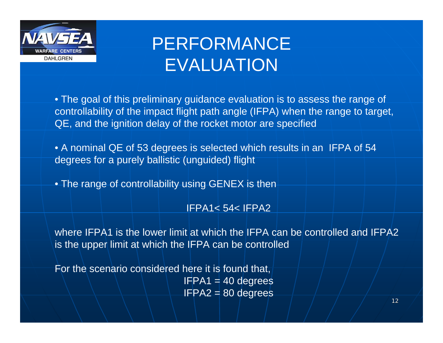

# PERFORMANCE EVALUATION

• The goal of this preliminary guidance evaluation is to assess the range of controllability of the impact flight path angle (IFPA) when the range to target, QE, and the ignition delay of the rocket motor are specified

• A nominal QE of 53 degrees is selected which results in an IFPA of 54 degrees for a purely ballistic (unguided) flight

 $\bullet$  The range of controllability using GENEX is then  $\overline{\phantom{a}}$ 

#### IFPA1< 54< IFPA2

where IFPA1 is the lower limit at which the IFPA can be controlled and IFPA2 is the upper limit at which the IFPA can be controlled

For the scenario considered here it is found that,  $IFPA1 = 40 degrees$  $IFPA2 = 80$  degrees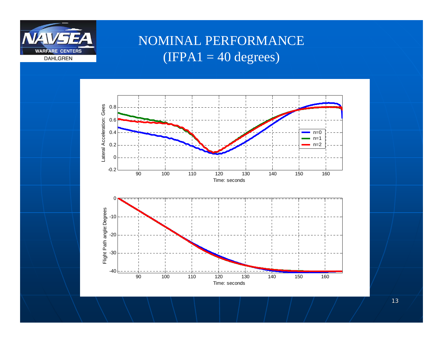

#### NOMINAL PERFORMANCE  $(IFPA1 = 40 degrees)$

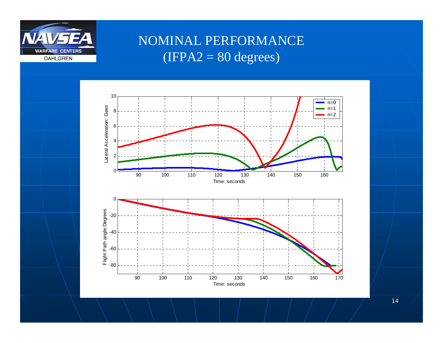

#### NOMINAL PERFORMANCE  $(IFPA2 = 80 degrees)$

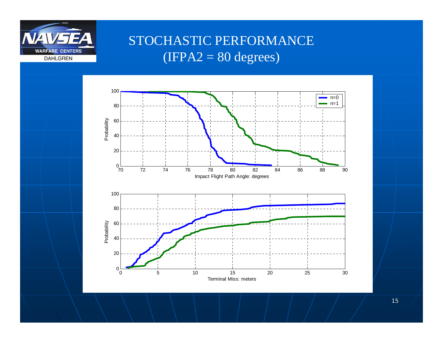

#### STOCHASTIC PERFORMANCE  $(IFPA2 = 80 degrees)$



15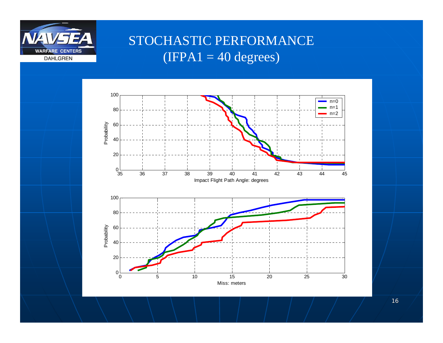

#### STOCHASTIC PERFORMANCE  $(IFPA1 = 40 degrees)$



16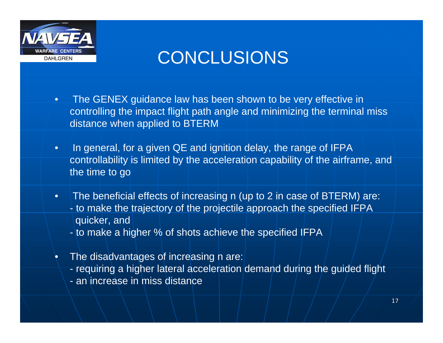

### CONCLUSIONS

- $\bullet$  The GENEX guidance law has been shown to be very effective in controlling the impact flight path angle and minimizing the terminal miss distance when applied to BTERM
- $\bullet$ In general, for a given QE and ignition delay, the range of IFPA controllability is limited by the acceleration capability of the airframe, and the time to go
- $\bullet$  The beneficial effects of increasing n (up to 2 in case of BTERM) are: - to make the trajectory of the projectile approach the specified IFPA quicker, and
	- to make a higher % of shots achieve the specified IFPA
- •The disadvantages of increasing h are:
	- requiring a higher lateral acceleration demand during the guided flight
	- an increase in miss distance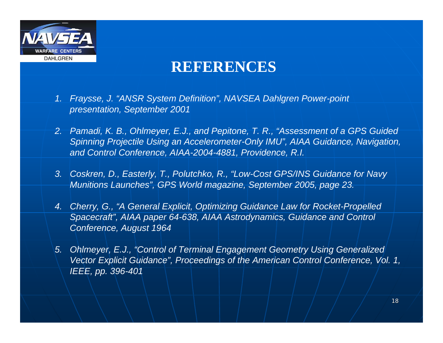

### **REFERENCES**

- *1. Fraysse, J. "ANSR System Definition", NAVSEA Dahlgren Power-point presentation, September 2001*
- *2. Pamadi, K. B., Ohlmeyer, E.J., and Pepitone, T. R., "Assessment of a GPS Guided Spinning Projectile Using an Accelerometer-Only IMU", AIAA Guidance, Navigation, and Control Conference, AIAA-2004-4881, Providence, R.I.*
- *3. Coskren, D., Easterly, T., Polutchko, R., "Low-Cost GPS/INS Guidance for Navy Munitions Launches", GPS World magazine, September 2005, page 23.*
- *4. Cherry, G., "A General Explicit, Optimizing Guidance Law for Rocket-Propelled Spacecraft", AIAA paper 64-638, AIAA Astrodynamics, Guidance and Control Conference, August 1964*
- *5. Ohlmeyer, E.J., "Control of Terminal Engagement Geometry Using Generalized Vector Explicit Guidance", Proceedings of the American Control Conference, Vol. 1, IEEE, pp. 396-401*